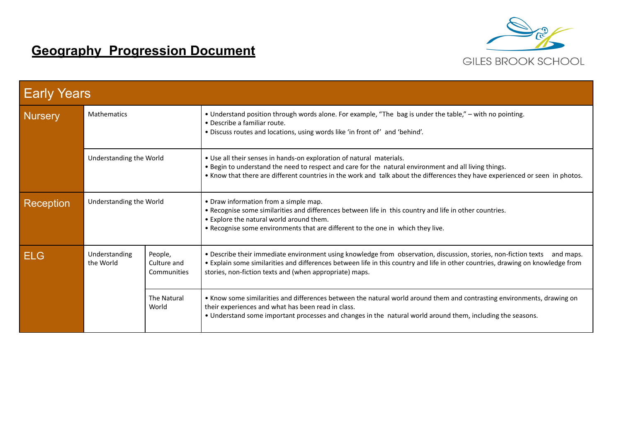

## **Geography Progression Document**

| <b>Early Years</b> |                            |                                       |                                                                                                                                                                                                                                                                                                                            |  |  |  |  |
|--------------------|----------------------------|---------------------------------------|----------------------------------------------------------------------------------------------------------------------------------------------------------------------------------------------------------------------------------------------------------------------------------------------------------------------------|--|--|--|--|
| <b>Nursery</b>     | <b>Mathematics</b>         |                                       | . Understand position through words alone. For example, "The bag is under the table," – with no pointing.<br>• Describe a familiar route.<br>. Discuss routes and locations, using words like 'in front of' and 'behind'.                                                                                                  |  |  |  |  |
|                    | Understanding the World    |                                       | • Use all their senses in hands-on exploration of natural materials.<br>. Begin to understand the need to respect and care for the natural environment and all living things.<br>. Know that there are different countries in the work and talk about the differences they have experienced or seen in photos.             |  |  |  |  |
| Reception          | Understanding the World    |                                       | • Draw information from a simple map.<br>. Recognise some similarities and differences between life in this country and life in other countries.<br>• Explore the natural world around them.<br>. Recognise some environments that are different to the one in which they live.                                            |  |  |  |  |
| <b>ELG</b>         | Understanding<br>the World | People,<br>Culture and<br>Communities | . Describe their immediate environment using knowledge from observation, discussion, stories, non-fiction texts<br>and maps.<br>. Explain some similarities and differences between life in this country and life in other countries, drawing on knowledge from<br>stories, non-fiction texts and (when appropriate) maps. |  |  |  |  |
|                    |                            | The Natural<br>World                  | . Know some similarities and differences between the natural world around them and contrasting environments, drawing on<br>their experiences and what has been read in class.<br>. Understand some important processes and changes in the natural world around them, including the seasons.                                |  |  |  |  |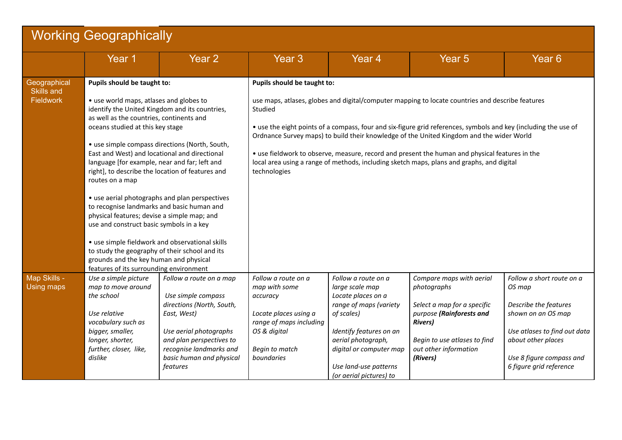| <b>Working Geographically</b> |                                                                                                                                                                                                                                                                                                                                                                                                                                                                                                                                                                                                              |                                                                               |                                                                                                                                                                                                                                                                                                                            |                                                                          |                                                                           |                                                     |  |  |  |
|-------------------------------|--------------------------------------------------------------------------------------------------------------------------------------------------------------------------------------------------------------------------------------------------------------------------------------------------------------------------------------------------------------------------------------------------------------------------------------------------------------------------------------------------------------------------------------------------------------------------------------------------------------|-------------------------------------------------------------------------------|----------------------------------------------------------------------------------------------------------------------------------------------------------------------------------------------------------------------------------------------------------------------------------------------------------------------------|--------------------------------------------------------------------------|---------------------------------------------------------------------------|-----------------------------------------------------|--|--|--|
|                               | Year 1                                                                                                                                                                                                                                                                                                                                                                                                                                                                                                                                                                                                       | Year <sub>2</sub>                                                             | Year <sub>3</sub>                                                                                                                                                                                                                                                                                                          | Year <sub>4</sub>                                                        | Year <sub>5</sub>                                                         | Year <sub>6</sub>                                   |  |  |  |
| Geographical<br>Skills and    | Pupils should be taught to:                                                                                                                                                                                                                                                                                                                                                                                                                                                                                                                                                                                  |                                                                               | Pupils should be taught to:                                                                                                                                                                                                                                                                                                |                                                                          |                                                                           |                                                     |  |  |  |
| <b>Fieldwork</b>              | • use world maps, atlases and globes to<br>identify the United Kingdom and its countries,<br>as well as the countries, continents and<br>oceans studied at this key stage                                                                                                                                                                                                                                                                                                                                                                                                                                    |                                                                               | use maps, atlases, globes and digital/computer mapping to locate countries and describe features<br>Studied<br>• use the eight points of a compass, four and six-figure grid references, symbols and key (including the use of<br>Ordnance Survey maps) to build their knowledge of the United Kingdom and the wider World |                                                                          |                                                                           |                                                     |  |  |  |
|                               | • use simple compass directions (North, South,<br>East and West) and locational and directional<br>language [for example, near and far; left and<br>right], to describe the location of features and<br>routes on a map<br>• use aerial photographs and plan perspectives<br>to recognise landmarks and basic human and<br>physical features; devise a simple map; and<br>use and construct basic symbols in a key<br>• use simple fieldwork and observational skills<br>to study the geography of their school and its<br>grounds and the key human and physical<br>features of its surrounding environment |                                                                               | • use fieldwork to observe, measure, record and present the human and physical features in the<br>local area using a range of methods, including sketch maps, plans and graphs, and digital<br>technologies                                                                                                                |                                                                          |                                                                           |                                                     |  |  |  |
|                               |                                                                                                                                                                                                                                                                                                                                                                                                                                                                                                                                                                                                              |                                                                               |                                                                                                                                                                                                                                                                                                                            |                                                                          |                                                                           |                                                     |  |  |  |
|                               |                                                                                                                                                                                                                                                                                                                                                                                                                                                                                                                                                                                                              |                                                                               |                                                                                                                                                                                                                                                                                                                            |                                                                          |                                                                           |                                                     |  |  |  |
| Map Skills -<br>Using maps    | Use a simple picture<br>map to move around<br>the school                                                                                                                                                                                                                                                                                                                                                                                                                                                                                                                                                     | Follow a route on a map<br>Use simple compass                                 | Follow a route on a<br>map with some<br>accuracy                                                                                                                                                                                                                                                                           | Follow a route on a<br>large scale map<br>Locate places on a             | Compare maps with aerial<br>photographs                                   | Follow a short route on a<br>OS map                 |  |  |  |
|                               | Use relative<br>vocabulary such as                                                                                                                                                                                                                                                                                                                                                                                                                                                                                                                                                                           | directions (North, South,<br>East, West)                                      | Locate places using a<br>range of maps including                                                                                                                                                                                                                                                                           | range of maps (variety<br>of scales)                                     | Select a map for a specific<br>purpose (Rainforests and<br><b>Rivers)</b> | Describe the features<br>shown on an OS map         |  |  |  |
|                               | bigger, smaller,<br>longer, shorter,<br>further, closer, like,                                                                                                                                                                                                                                                                                                                                                                                                                                                                                                                                               | Use aerial photographs<br>and plan perspectives to<br>recognise landmarks and | OS & digital<br>Begin to match                                                                                                                                                                                                                                                                                             | Identify features on an<br>aerial photograph,<br>digital or computer map | Begin to use atlases to find<br>out other information                     | Use atlases to find out data<br>about other places  |  |  |  |
|                               | dislike                                                                                                                                                                                                                                                                                                                                                                                                                                                                                                                                                                                                      | basic human and physical<br>features                                          | boundaries                                                                                                                                                                                                                                                                                                                 | Use land-use patterns<br>(or aerial pictures) to                         | (Rivers)                                                                  | Use 8 figure compass and<br>6 figure grid reference |  |  |  |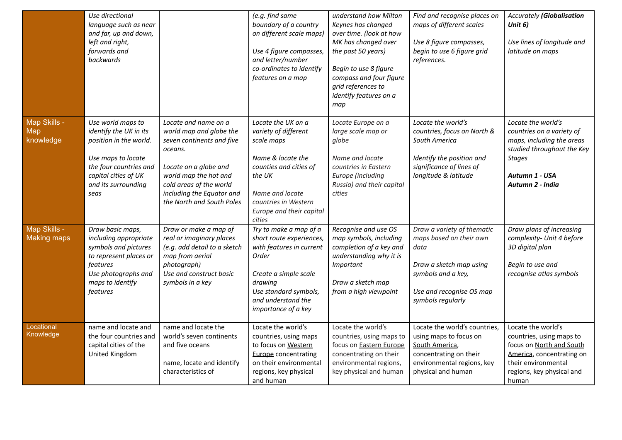|                                         | Use directional<br>language such as near<br>and far, up and down,<br>left and right,<br>forwards and<br>backwards                                                            |                                                                                                                                                                                                                                | (e.g. find same<br>boundary of a country<br>on different scale maps)<br>Use 4 figure compasses,<br>and letter/number<br>co-ordinates to identify<br>features on a map                              | understand how Milton<br>Keynes has changed<br>over time. (look at how<br>MK has changed over<br>the past 50 years)<br>Begin to use 8 figure<br>compass and four figure<br>grid references to<br>identify features on a<br>map | Find and recognise places on<br>maps of different scales<br>Use 8 figure compasses,<br>begin to use 6 figure grid<br>references.                                | <b>Accurately (Globalisation</b><br>Unit 6)<br>Use lines of longitude and<br>latitude on maps                                                                        |
|-----------------------------------------|------------------------------------------------------------------------------------------------------------------------------------------------------------------------------|--------------------------------------------------------------------------------------------------------------------------------------------------------------------------------------------------------------------------------|----------------------------------------------------------------------------------------------------------------------------------------------------------------------------------------------------|--------------------------------------------------------------------------------------------------------------------------------------------------------------------------------------------------------------------------------|-----------------------------------------------------------------------------------------------------------------------------------------------------------------|----------------------------------------------------------------------------------------------------------------------------------------------------------------------|
| Map Skills -<br><b>Map</b><br>knowledge | Use world maps to<br>identify the UK in its<br>position in the world.<br>Use maps to locate<br>the four countries and<br>capital cities of UK<br>and its surrounding<br>seas | Locate and name on a<br>world map and globe the<br>seven continents and five<br>oceans.<br>Locate on a globe and<br>world map the hot and<br>cold areas of the world<br>including the Equator and<br>the North and South Poles | Locate the UK on a<br>variety of different<br>scale maps<br>Name & locate the<br>counties and cities of<br>the UK<br>Name and locate<br>countries in Western<br>Europe and their capital<br>cities | Locate Europe on a<br>large scale map or<br>globe<br>Name and locate<br>countries in Eastern<br>Europe (including<br>Russia) and their capital<br>cities                                                                       | Locate the world's<br>countries, focus on North &<br>South America<br>Identify the position and<br>significance of lines of<br>longitude & latitude             | Locate the world's<br>countries on a variety of<br>maps, including the areas<br>studied throughout the Key<br><b>Stages</b><br>Autumn 1 - USA<br>Autumn 2 - India    |
| Map Skills -<br><b>Making maps</b>      | Draw basic maps,<br>including appropriate<br>symbols and pictures<br>to represent places or<br>features<br>Use photographs and<br>maps to identify<br>features               | Draw or make a map of<br>real or imaginary places<br>(e.g. add detail to a sketch<br>map from aerial<br>photograph)<br>Use and construct basic<br>symbols in a key                                                             | Try to make a map of a<br>short route experiences,<br>with features in current<br>Order<br>Create a simple scale<br>drawing<br>Use standard symbols,<br>and understand the<br>importance of a key  | Recognise and use OS<br>map symbols, including<br>completion of a key and<br>understanding why it is<br>Important<br>Draw a sketch map<br>from a high viewpoint                                                                | Draw a variety of thematic<br>maps based on their own<br>data<br>Draw a sketch map using<br>symbols and a key,<br>Use and recognise OS map<br>symbols regularly | Draw plans of increasing<br>complexity- Unit 4 before<br>3D digital plan<br>Begin to use and<br>recognise atlas symbols                                              |
| Locational<br>Knowledge                 | name and locate and<br>the four countries and<br>capital cities of the<br>United Kingdom                                                                                     | name and locate the<br>world's seven continents<br>and five oceans<br>name, locate and identify<br>characteristics of                                                                                                          | Locate the world's<br>countries, using maps<br>to focus on Western<br><b>Europe</b> concentrating<br>on their environmental<br>regions, key physical<br>and human                                  | Locate the world's<br>countries, using maps to<br>focus on <b>Eastern Europe</b><br>concentrating on their<br>environmental regions,<br>key physical and human                                                                 | Locate the world's countries,<br>using maps to focus on<br>South America,<br>concentrating on their<br>environmental regions, key<br>physical and human         | Locate the world's<br>countries, using maps to<br>focus on North and South<br>America, concentrating on<br>their environmental<br>regions, key physical and<br>human |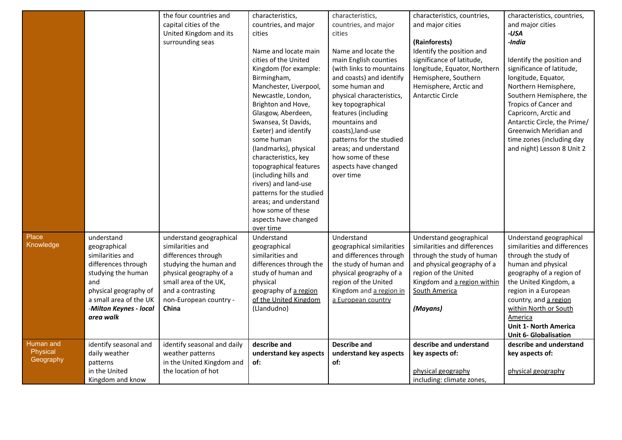|           |                           | the four countries and                        | characteristics,         | characteristics,              | characteristics, countries,  | characteristics, countries,                             |
|-----------|---------------------------|-----------------------------------------------|--------------------------|-------------------------------|------------------------------|---------------------------------------------------------|
|           |                           | capital cities of the                         | countries, and major     | countries, and major          | and major cities             | and major cities                                        |
|           |                           | United Kingdom and its                        | cities                   | cities                        |                              | $-USA$                                                  |
|           |                           | surrounding seas                              |                          |                               | (Rainforests)                | -India                                                  |
|           |                           |                                               | Name and locate main     | Name and locate the           | Identify the position and    |                                                         |
|           |                           |                                               | cities of the United     | main English counties         | significance of latitude,    | Identify the position and                               |
|           |                           |                                               | Kingdom (for example:    | (with links to mountains      | longitude, Equator, Northern | significance of latitude,                               |
|           |                           |                                               | Birmingham,              | and coasts) and identify      | Hemisphere, Southern         | longitude, Equator,                                     |
|           |                           |                                               | Manchester, Liverpool,   | some human and                | Hemisphere, Arctic and       | Northern Hemisphere,                                    |
|           |                           |                                               | Newcastle, London,       | physical characteristics,     | <b>Antarctic Circle</b>      | Southern Hemisphere, the                                |
|           |                           |                                               | Brighton and Hove,       | key topographical             |                              | Tropics of Cancer and                                   |
|           |                           |                                               | Glasgow, Aberdeen,       | features (including           |                              | Capricorn, Arctic and                                   |
|           |                           |                                               | Swansea, St Davids,      | mountains and                 |                              | Antarctic Circle, the Prime/                            |
|           |                           |                                               | Exeter) and identify     | coasts), land-use             |                              | Greenwich Meridian and                                  |
|           |                           |                                               | some human               | patterns for the studied      |                              | time zones (including day                               |
|           |                           |                                               | (landmarks), physical    | areas; and understand         |                              | and night) Lesson 8 Unit 2                              |
|           |                           |                                               | characteristics, key     | how some of these             |                              |                                                         |
|           |                           |                                               | topographical features   | aspects have changed          |                              |                                                         |
|           |                           |                                               | (including hills and     | over time                     |                              |                                                         |
|           |                           |                                               | rivers) and land-use     |                               |                              |                                                         |
|           |                           |                                               | patterns for the studied |                               |                              |                                                         |
|           |                           |                                               | areas; and understand    |                               |                              |                                                         |
|           |                           |                                               | how some of these        |                               |                              |                                                         |
|           |                           |                                               | aspects have changed     |                               |                              |                                                         |
|           |                           |                                               | over time                |                               |                              |                                                         |
| Place     | understand                | understand geographical                       | Understand               | Understand                    | Understand geographical      | Understand geographical                                 |
| Knowledge | geographical              | similarities and                              | geographical             | geographical similarities     | similarities and differences | similarities and differences                            |
|           | similarities and          | differences through                           | similarities and         | and differences through       | through the study of human   | through the study of                                    |
|           | differences through       | studying the human and                        | differences through the  | the study of human and        | and physical geography of a  | human and physical                                      |
|           | studying the human        | physical geography of a                       | study of human and       | physical geography of a       | region of the United         | geography of a region of                                |
|           | and                       | small area of the UK,                         | physical                 | region of the United          | Kingdom and a region within  | the United Kingdom, a                                   |
|           | physical geography of     | and a contrasting                             | geography of a region    | Kingdom and a region in       | South America                | region in a European                                    |
|           | a small area of the UK    | non-European country -                        | of the United Kingdom    | a European country            |                              | country, and a region                                   |
|           | -Milton Keynes - local    | China                                         | (Llandudno)              |                               | (Mayans)                     | within North or South                                   |
|           | area walk                 |                                               |                          |                               |                              | America<br><b>Unit 1- North America</b>                 |
|           |                           |                                               |                          |                               |                              |                                                         |
| Human and | identify seasonal and     | identify seasonal and daily                   | describe and             | <b>Describe and</b>           | describe and understand      | <b>Unit 6- Globalisation</b><br>describe and understand |
| Physical  | daily weather             |                                               | understand key aspects   |                               |                              |                                                         |
| Geography |                           | weather patterns<br>in the United Kingdom and | of:                      | understand key aspects<br>of: | key aspects of:              | key aspects of:                                         |
|           | patterns<br>in the United | the location of hot                           |                          |                               | physical geography           | physical geography                                      |
|           |                           |                                               |                          |                               |                              |                                                         |
|           | Kingdom and know          |                                               |                          |                               | including: climate zones,    |                                                         |